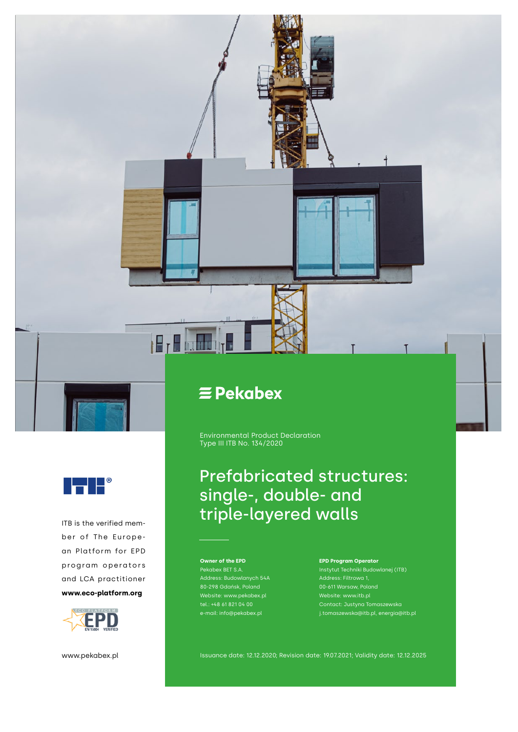



Environmental Product Declaration Type III ITB No. 134/2020

# Prefabricated structures: single-, double- and ITB is the verified mem-<br>ITB is the verified mem-<br>ITB is the verified mem-

**Owner of the EPD** Pekabex BET S.A. Address: Budowlanych 54A Website: www.pekabex.pl tel.: +48 61 821 04 00 e-mail: info@pekabex.pl

#### **EPD Program Operator**

Instytut Techniki Budowlanej (ITB) Website: www.itb.pl j.tomaszewska@itb.pl, energia@itb.pl

www.pekabex.pl

FI

D

ber of The European Platform for EPD program operators and LCA practitioner **www.eco-platform.org**

Issuance date: 12.12.2020; Revision date: 19.07.2021; Validity date: 12.12.2025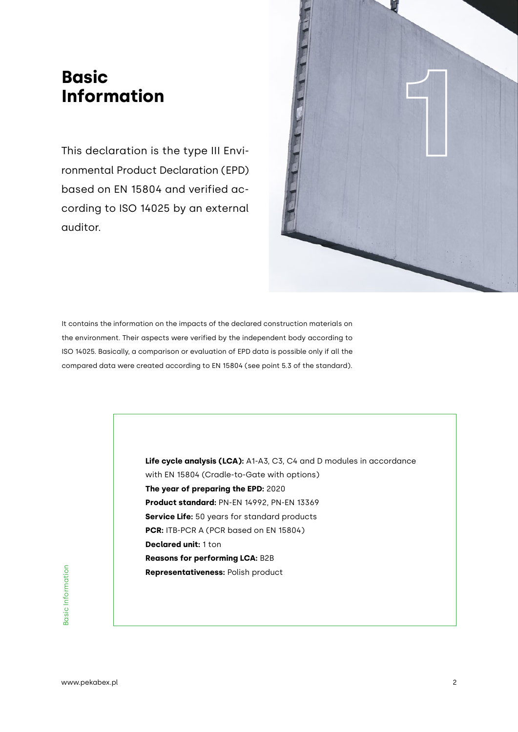# **Information**

This declaration is the type III Environmental Product Declaration (EPD) based on EN 15804 and verified according to ISO 14025 by an external auditor.



It contains the information on the impacts of the declared construction materials on the environment. Their aspects were verified by the independent body according to ISO 14025. Basically, a comparison or evaluation of EPD data is possible only if all the compared data were created according to EN 15804 (see point 5.3 of the standard).

**Representativeness:** Polish product<br>  $\frac{1}{2}$ <br>  $\frac{1}{2}$ <br>  $\frac{1}{2}$ <br>
and  $\frac{1}{2}$ <br> **Representativeness:** Polish product<br>  $\frac{1}{2}$ <br> **Passed by Absolution**<br> **Passed by Absolution**<br> **Passed by Absolution**<br> **Passed by Abso Life cycle analysis (LCA):** A1-A3, C3, C4 and D modules in accordance with EN 15804 (Cradle-to-Gate with options) **The year of preparing the EPD:** 2020 **Product standard:** PN-EN 14992, PN-EN 13369 **Service Life:** 50 years for standard products **PCR:** ITB-PCR A (PCR based on EN 15804) **Declared unit:** 1 ton **Reasons for performing LCA:** B2B **Representativeness:** Polish product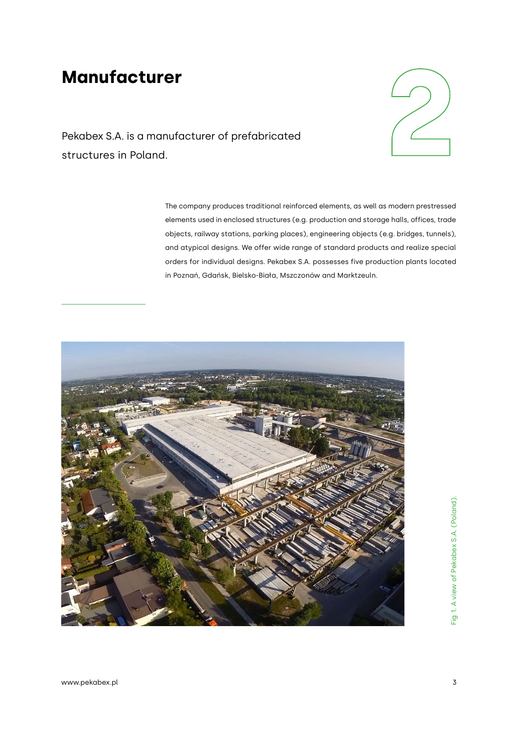# **Manufacturer**



Pekabex S.A. is a manufacturer of prefabricated

The company produces traditional reinforced elements, as well as modern prestressed elements used in enclosed structures (e.g. production and storage halls, offices, trade objects, railway stations, parking places), engineering objects (e.g. bridges, tunnels), and atypical designs. We offer wide range of standard products and realize special orders for individual designs. Pekabex S.A. possesses five production plants located in Poznań, Gdańsk, Bielsko-Biała, Mszczonów and Marktzeuln.

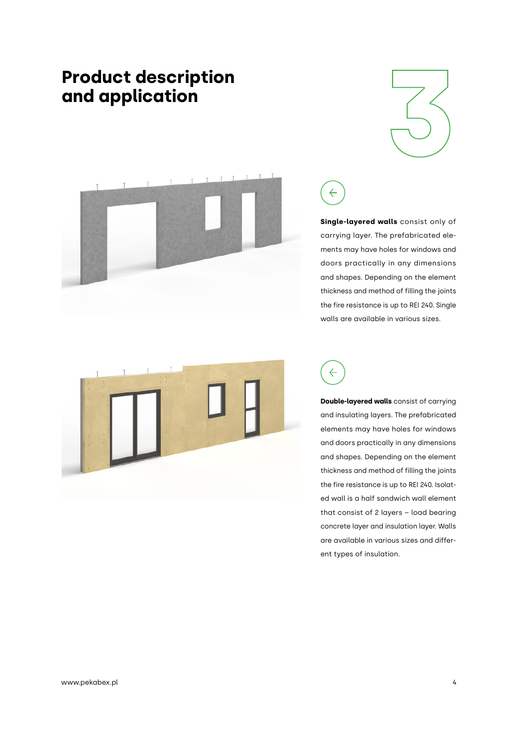# **Product description**







**Single-layered walls** consist only of carrying layer. The prefabricated elements may have holes for windows and doors practically in any dimensions and shapes. Depending on the element thickness and method of filling the joints the fire resistance is up to REI 240. Single walls are available in various sizes.





**Double-layered walls** consist of carrying and insulating layers. The prefabricated elements may have holes for windows and doors practically in any dimensions and shapes. Depending on the element thickness and method of filling the joints the fire resistance is up to REI 240. Isolated wall is a half sandwich wall element that consist of 2 layers – load bearing concrete layer and insulation layer. Walls are available in various sizes and different types of insulation.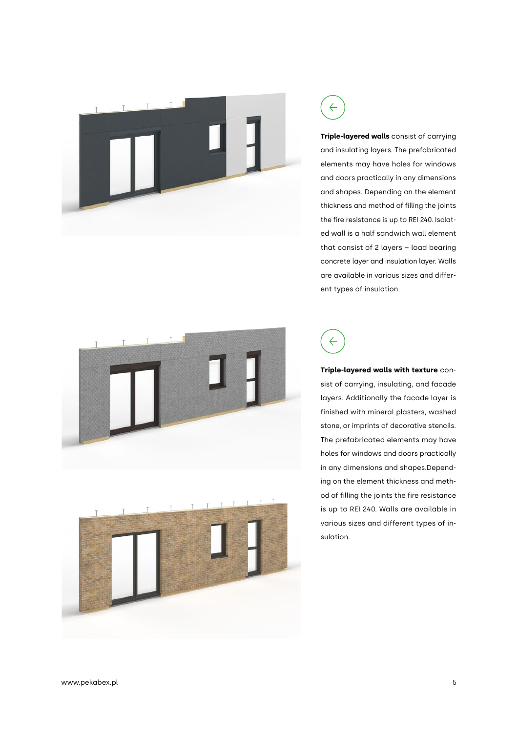







**Triple-layered walls** consist of carrying and insulating layers. The prefabricated elements may have holes for windows and doors practically in any dimensions and shapes. Depending on the element thickness and method of filling the joints the fire resistance is up to REI 240. Isolated wall is a half sandwich wall element that consist of 2 layers – load bearing concrete layer and insulation layer. Walls are available in various sizes and different types of insulation.

 $\leftarrow$ 

**Triple-layered walls with texture** consist of carrying, insulating, and facade layers. Additionally the facade layer is finished with mineral plasters, washed stone, or imprints of decorative stencils. The prefabricated elements may have holes for windows and doors practically in any dimensions and shapes.Depending on the element thickness and method of filling the joints the fire resistance is up to REI 240. Walls are available in various sizes and different types of insulation.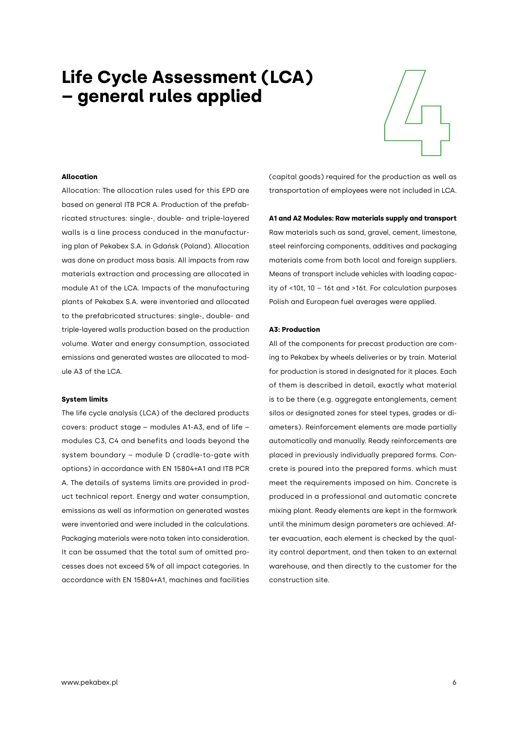# **411 Cycle Assessment (LCA)**<br> **4110cation**<br>
Allocation **– general rules applied**



#### **Allocation**

Allocation: The allocation rules used for this EPD are based on general ITB PCR A. Production of the prefabricated structures: single-, double- and triple-layered walls is a line process conduced in the manufacturing plan of Pekabex S.A. in Gdańsk (Poland). Allocation was done on product mass basis. All impacts from raw materials extraction and processing are allocated in module A1 of the LCA. Impacts of the manufacturing plants of Pekabex S.A. were inventoried and allocated to the prefabricated structures: single-, double- and triple-layered walls production based on the production volume. Water and energy consumption, associated emissions and generated wastes are allocated to module A3 of the LCA.

#### **System limits**

The life cycle analysis (LCA) of the declared products covers: product stage – modules A1-A3, end of life – modules C3, C4 and benefits and loads beyond the system boundary – module D (cradle-to-gate with options) in accordance with EN 15804+A1 and ITB PCR A. The details of systems limits are provided in product technical report. Energy and water consumption, emissions as well as information on generated wastes were inventoried and were included in the calculations. Packaging materials were nota taken into consideration. It can be assumed that the total sum of omitted processes does not exceed 5% of all impact categories. In accordance with EN 15804+A1, machines and facilities

(capital goods) required for the production as well as transportation of employees were not included in LCA.

#### **A1 and A2 Modules: Raw materials supply and transport**

Raw materials such as sand, gravel, cement, limestone, steel reinforcing components, additives and packaging materials come from both local and foreign suppliers. Means of transport include vehicles with loading capacity of <10t, 10 – 16t and >16t. For calculation purposes Polish and European fuel averages were applied.

#### **A3: Production**

All of the components for precast production are coming to Pekabex by wheels deliveries or by train. Material for production is stored in designated for it places. Each of them is described in detail, exactly what material is to be there (e.g. aggregate entanglements, cement silos or designated zones for steel types, grades or diameters). Reinforcement elements are made partially automatically and manually. Ready reinforcements are placed in previously individually prepared forms. Concrete is poured into the prepared forms. which must meet the requirements imposed on him. Concrete is produced in a professional and automatic concrete mixing plant. Ready elements are kept in the formwork until the minimum design parameters are achieved. After evacuation, each element is checked by the quality control department, and then taken to an external warehouse, and then directly to the customer for the construction site.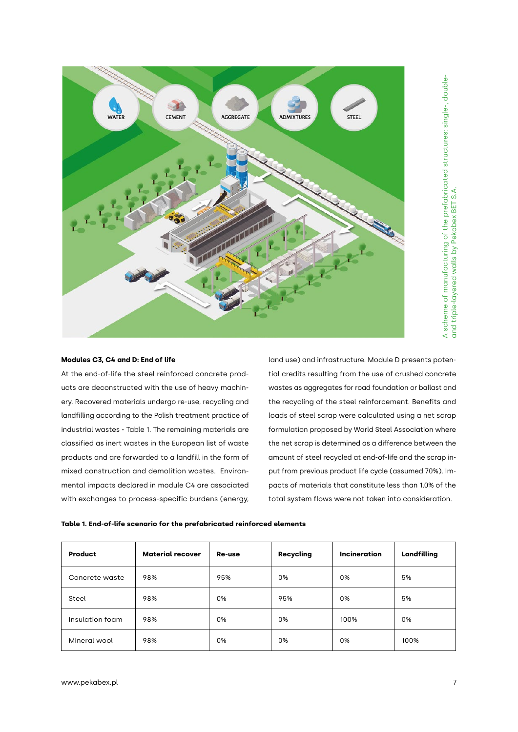

#### **Modules C3, C4 and D: End of life**

At the end-of-life the steel reinforced concrete products are deconstructed with the use of heavy machinery. Recovered materials undergo re-use, recycling and landfilling according to the Polish treatment practice of industrial wastes - Table 1. The remaining materials are classified as inert wastes in the European list of waste products and are forwarded to a landfill in the form of mixed construction and demolition wastes. Environmental impacts declared in module C4 are associated with exchanges to process-specific burdens (energy, land use) and infrastructure. Module D presents potential credits resulting from the use of crushed concrete wastes as aggregates for road foundation or ballast and the recycling of the steel reinforcement. Benefits and loads of steel scrap were calculated using a net scrap formulation proposed by World Steel Association where the net scrap is determined as a difference between the amount of steel recycled at end-of-life and the scrap input from previous product life cycle (assumed 70%). Impacts of materials that constitute less than 1.0% of the total system flows were not taken into consideration.

| Product         | <b>Material recover</b> | Re-use | <b>Recycling</b> | <b>Incineration</b> | Landfilling |
|-----------------|-------------------------|--------|------------------|---------------------|-------------|
| Concrete waste  | 98%                     | 95%    | 0%               | 0%                  | 5%          |
| Steel           | 98%                     | 0%     | 95%              | 0%                  | 5%          |
| Insulation foam | 98%                     | 0%     | 0%               | 100%                | 0%          |
| Mineral wool    | 98%                     | 0%     | 0%               | 0%                  | 100%        |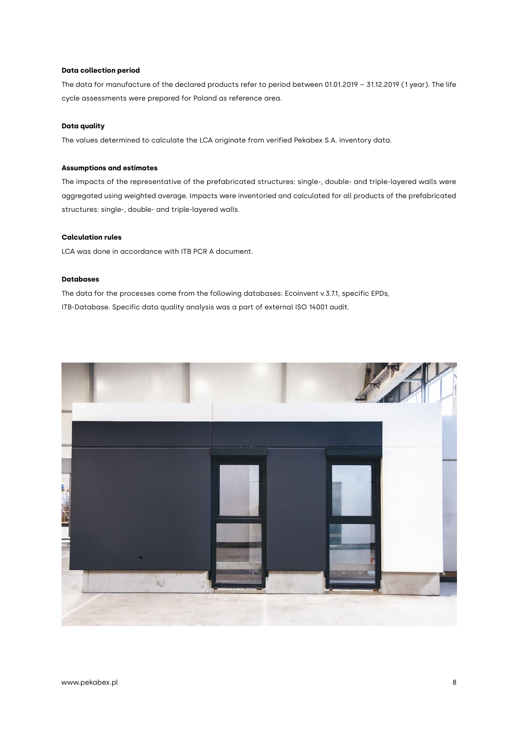#### **Data collection period**

The data for manufacture of the declared products refer to period between 01.01.2019 – 31.12.2019 (1 year). The life cycle assessments were prepared for Poland as reference area.

#### **Data quality**

The values determined to calculate the LCA originate from verified Pekabex S.A. inventory data.

#### **Assumptions and estimates**

The impacts of the representative of the prefabricated structures: single-, double- and triple-layered walls were aggregated using weighted average. Impacts were inventoried and calculated for all products of the prefabricated structures: single-, double- and triple-layered walls.

#### **Calculation rules**

LCA was done in accordance with ITB PCR A document.

#### **Databases**

The data for the processes come from the following databases: Ecoinvent v.3.7.1, specific EPDs, ITB-Database. Specific data quality analysis was a part of external ISO 14001 audit.

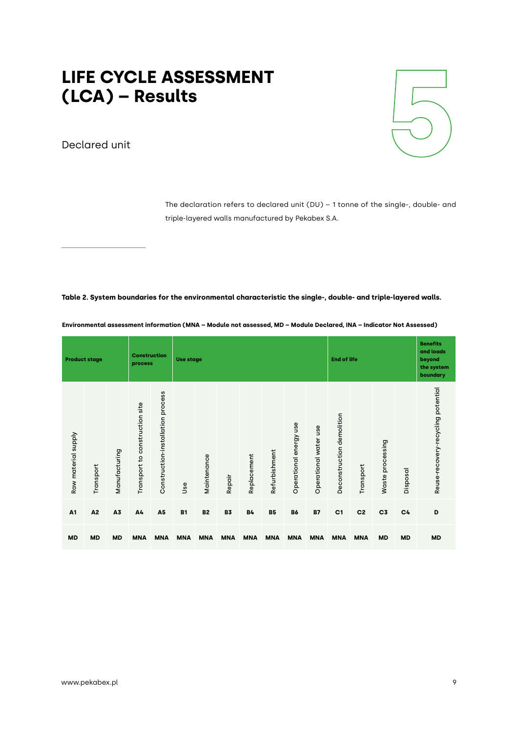# LIFE CYCLE ASSESSMENT<br>(LCA) – Results **LIFE CYCLE ASSESSMENT<br>
(LCA) – Results<br>
Declared unit**

Declared unit



The declaration refers to declared unit (DU) – 1 tonne of the single-, double- and triple-layered walls manufactured by Pekabex S.A.

#### **Table 2. System boundaries for the environmental characteristic the single-, double- and triple-layered walls.**

| <b>Product stage</b> |           |               | <b>Construction</b><br>process |                                   |            | <b>Use stage</b> |            |             |               |                        | <b>End of life</b>    |                              |                | <b>Benefits</b><br>and loads<br>beyond<br>the system<br>boundary |           |                                    |
|----------------------|-----------|---------------|--------------------------------|-----------------------------------|------------|------------------|------------|-------------|---------------|------------------------|-----------------------|------------------------------|----------------|------------------------------------------------------------------|-----------|------------------------------------|
| Raw material supply  | Transport | Manufacturing | Transport to construction site | Construction-installation process | Use        | Maintenance      | Repair     | Replacement | Refurbishment | Operational energy use | Operational water use | demolition<br>Deconstruction | Transport      | processing<br>Waste                                              | Disposal  | Reuse-recovery-recycling potential |
| A <sub>1</sub>       | A2        | A3            | A4                             | A <sub>5</sub>                    | <b>B1</b>  | <b>B2</b>        | <b>B3</b>  | <b>B4</b>   | <b>B5</b>     | <b>B6</b>              | <b>B7</b>             | C <sub>1</sub>               | C <sub>2</sub> | C <sub>3</sub>                                                   | C4        | D                                  |
| <b>MD</b>            | <b>MD</b> | <b>MD</b>     | <b>MNA</b>                     | <b>MNA</b>                        | <b>MNA</b> | <b>MNA</b>       | <b>MNA</b> | <b>MNA</b>  | <b>MNA</b>    | <b>MNA</b>             | <b>MNA</b>            | <b>MNA</b>                   | <b>MNA</b>     | <b>MD</b>                                                        | <b>MD</b> | <b>MD</b>                          |

**Environmental assessment information (MNA – Module not assessed, MD – Module Declared, INA – Indicator Not Assessed)**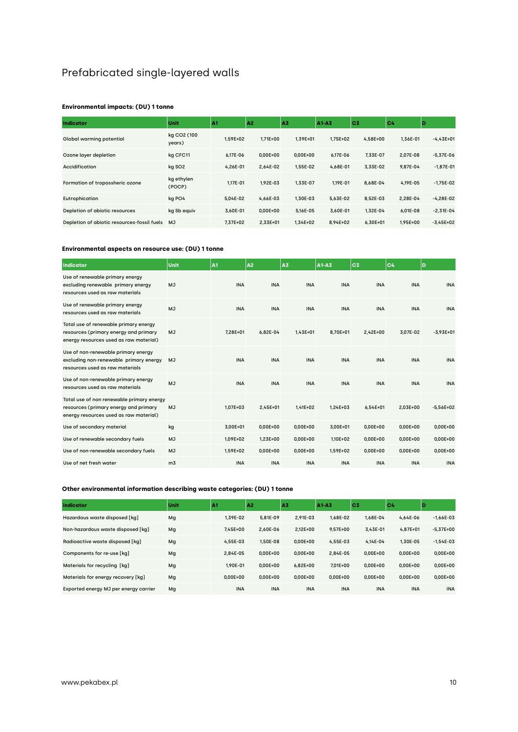## Prefabricated single-layered walls

#### **Environmental impacts: (DU) 1 tonne**

| <b>Indicator</b>                               | Unit                  | A <sub>1</sub> | A <sub>2</sub> | A3           | A1-A3        | C <sub>3</sub> | C <sub>4</sub> | Þ           |
|------------------------------------------------|-----------------------|----------------|----------------|--------------|--------------|----------------|----------------|-------------|
| Global warming potential                       | kg CO2 (100<br>years) | 1.59E+02       | $1.71E+00$     | 1.39E+01     | $1.75E + 02$ | $4.58E + 00$   | 1.36E-01       | $-4.43E+01$ |
| Ozone layer depletion                          | kg CFC11              | 6.17E-06       | $0.00E + 00$   | $0.00E + 00$ | 6.17E-06     | 7.33E-07       | 2.07E-08       | $-5.37E-06$ |
| Accidification                                 | kg SO <sub>2</sub>    | 4.26E-01       | 2,64E-02       | 1.55E-02     | 4,68E-01     | 3,33E-02       | 9.87E-04       | $-1,87E-01$ |
| Formation of tropossheric ozone                | kg ethylen<br>(POCP)  | 1.17E-01       | 1.92E-03       | 1.33E-07     | 1.19E-01     | 8.68E-04       | 4.19E-05       | $-1.75E-02$ |
| Eutrophication                                 | kg PO4                | 5.04E-02       | 4.66E-03       | 1.30E-03     | 5,63E-02     | 8.52E-03       | 2.28E-04       | $-4.28E-02$ |
| Depletion of abiotic resources                 | kg Sb equiv           | 3,60E-01       | $0.00E + 00$   | 5,16E-05     | 3,60E-01     | 1,32E-04       | $6.01E - 08$   | $-2,31E-04$ |
| Depletion of abiotic resources-fossil fuels MJ |                       | 7.37E+02       | $2.33E + 01$   | $1.34E + 02$ | 8.94E+02     | $6.30E + 01$   | 1.95E+00       | $-3.45E+02$ |

#### **Environmental aspects on resource use: (DU) 1 tonne**

| Indicator                                                                                                                    | Unit           | İA1          | A <sub>2</sub> | A3           | A1-A3        | lc3          | C <sub>4</sub> | D             |
|------------------------------------------------------------------------------------------------------------------------------|----------------|--------------|----------------|--------------|--------------|--------------|----------------|---------------|
| Use of renewable primary energy<br>excluding renewable primary energy<br>resources used as raw materials                     | <b>MJ</b>      | <b>INA</b>   | <b>INA</b>     | <b>INA</b>   | <b>INA</b>   | <b>INA</b>   | <b>INA</b>     | <b>INA</b>    |
| Use of renewable primary energy<br>resources used as raw materials                                                           | MJ             | <b>INA</b>   | <b>INA</b>     | <b>INA</b>   | <b>INA</b>   | <b>INA</b>   | <b>INA</b>     | <b>INA</b>    |
| Total use of renewable primary energy<br>resources (primary energy and primary<br>energy resources used as raw material)     | <b>MJ</b>      | $7.28E + 01$ | 6,82E-04       | $1.43E + 01$ | 8.70E+01     | $2,42E+00$   | 3.07E-02       | $-3.93E + 01$ |
| Use of non-renewable primary energy<br>excluding non-renewable primary energy<br>resources used as raw materials             | <b>MJ</b>      | <b>INA</b>   | <b>INA</b>     | <b>INA</b>   | <b>INA</b>   | <b>INA</b>   | <b>INA</b>     | <b>INA</b>    |
| Use of non-renewable primary energy<br>resources used as raw materials                                                       | MJ             | <b>INA</b>   | <b>INA</b>     | <b>INA</b>   | <b>INA</b>   | <b>INA</b>   | <b>INA</b>     | <b>INA</b>    |
| Total use of non renewable primary energy<br>resources (primary energy and primary<br>energy resources used as raw material) | <b>MJ</b>      | $1.07E + 03$ | $2.45E + 01$   | $1.41E + 02$ | $1.24E + 03$ | $6.54E + 01$ | 2.03E+00       | $-5.56E+02$   |
| Use of secondary material                                                                                                    | kg             | 3,00E+01     | $0,00E+00$     | $0,00E+00$   | 3,00E+01     | $0,00E+00$   | $0,00E+00$     | $0,00E+00$    |
| Use of renewable secondary fuels                                                                                             | MJ             | 1.09E+02     | $1.23E + 00$   | $0.00E + 00$ | 1.10E+02     | $0.00E + 00$ | $0.00E + 00$   | $0.00E + 00$  |
| Use of non-renewable secondary fuels                                                                                         | <b>MJ</b>      | 1,59E+02     | $0.00E + 00$   | $0.00E + 00$ | 1.59E+02     | $0.00E + 00$ | $0.00E + 00$   | $0.00E + 00$  |
| Use of net fresh water                                                                                                       | m <sub>3</sub> | <b>INA</b>   | <b>INA</b>     | <b>INA</b>   | <b>INA</b>   | <b>INA</b>   | <b>INA</b>     | <b>INA</b>    |

| Indicator                             | Unit | A1           | A <sub>2</sub> | A3           | A1-A3        | C <sub>3</sub> | C4           | D            |
|---------------------------------------|------|--------------|----------------|--------------|--------------|----------------|--------------|--------------|
| Hazardous waste disposed [kq]         | Mg   | 1.39E-02     | 5.81E-09       | 2.91E-03     | 1.68E-02     | 1.68E-04       | 4.64E-06     | $-1.66E-03$  |
| Non-hazardous waste disposed [kq]     | Mg   | $7.45E + 00$ | 2.60E-06       | $2.12E + 00$ | $9.57E + 00$ | 3.43E-01       | $4.87E + 01$ | $-5.37E+00$  |
| Radioactive waste disposed [kq]       | Mg   | 4.55E-03     | 1.50E-08       | $0.00E + 00$ | 4.55E-03     | 4.14E-04       | 1.30E-05     | $-1.54E-03$  |
| Components for re-use [kq]            | Mg   | 2.84E-05     | $0.00E + 00$   | $0.00E + 00$ | 2.84E-05     | $0.00E + 00$   | $0.00E + 00$ | $0.00E + 00$ |
| Materials for recycling [kg]          | Mg   | 1.90E-01     | $0.00E + 00$   | $6.82E + 00$ | 7.01E+00     | $0.00E + 00$   | $0.00E + 00$ | $0.00E + 00$ |
| Materials for energy recovery [kg]    | Mg   | $0.00E + 00$ | $0.00E + 00$   | $0.00E + 00$ | $0.00E + 00$ | $0.00E + 00$   | $0.00E + 00$ | $0.00E + 00$ |
| Exported energy MJ per energy carrier | Mq   | <b>INA</b>   | <b>INA</b>     | <b>INA</b>   | <b>INA</b>   | <b>INA</b>     | <b>INA</b>   | <b>INA</b>   |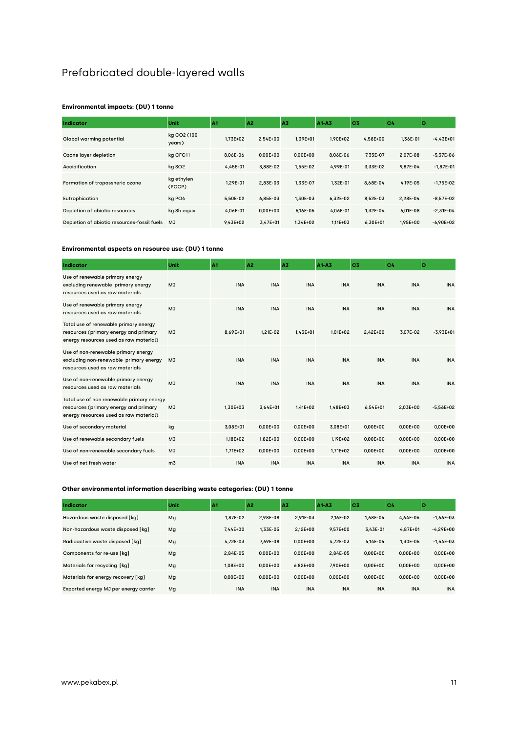### Prefabricated double-layered walls

#### **Environmental impacts: (DU) 1 tonne**

| Indicator                                   | Unit                  | A <sub>1</sub> | A <sub>2</sub> | A3           | A1-A3        | C <sub>3</sub> | C <sub>4</sub> | D             |
|---------------------------------------------|-----------------------|----------------|----------------|--------------|--------------|----------------|----------------|---------------|
| Global warming potential                    | kg CO2 (100<br>years) | $1.73E + 02$   | $2.54E + 00$   | 1.39E+01     | $1.90E + 02$ | $4.58E + 00$   | 1.36E-01       | $-4.43E+01$   |
| Ozone layer depletion                       | kg CFC11              | 8.06E-06       | $0.00E + 00$   | $0.00E + 00$ | 8.06E-06     | 7.33E-07       | 2.07E-08       | $-5.37E-06$   |
| <b>Accidification</b>                       | kg SO <sub>2</sub>    | 4.45E-01       | 3.88E-02       | 1.55E-02     | 4.99E-01     | 3.33E-02       | 9.87E-04       | $-1,87E-01$   |
| Formation of tropossheric ozone             | kg ethylen<br>(POCP)  | 1.29E-01       | 2.83E-03       | 1.33E-07     | 1.32E-01     | 8.68E-04       | 4.19E-05       | $-1.75E-02$   |
| Eutrophication                              | kg PO4                | 5.50E-02       | 6.85E-03       | 1.30E-03     | 6.32E-02     | 8.52E-03       | 2.28E-04       | $-8.57E-02$   |
| Depletion of abiotic resources              | kg Sb equiv           | 4.06E-01       | $0.00E + 00$   | 5.16E-05     | 4.06E-01     | 1.32E-04       | $6.01E - 08$   | $-2.31E-04$   |
| Depletion of abiotic resources-fossil fuels | <b>MJ</b>             | $9.43E + 02$   | $3.47E + 01$   | $1.34E + 02$ | 1.11E+03     | $6.30E + 01$   | 1.95E+00       | $-6.90E + 02$ |

#### **Environmental aspects on resource use: (DU) 1 tonne**

| <b>Indicator</b>                                                                                                             | Unit           | A <sub>1</sub> | A <sub>2</sub> | A3           | A1A3         | C <sub>3</sub> | C4           | D             |
|------------------------------------------------------------------------------------------------------------------------------|----------------|----------------|----------------|--------------|--------------|----------------|--------------|---------------|
| Use of renewable primary energy<br>excluding renewable primary energy<br>resources used as raw materials                     | <b>MJ</b>      | <b>INA</b>     | <b>INA</b>     | <b>INA</b>   | <b>INA</b>   | <b>INA</b>     | <b>INA</b>   | <b>INA</b>    |
| Use of renewable primary energy<br>resources used as raw materials                                                           | MJ             | <b>INA</b>     | <b>INA</b>     | <b>INA</b>   | <b>INA</b>   | <b>INA</b>     | <b>INA</b>   | <b>INA</b>    |
| Total use of renewable primary energy<br>resources (primary energy and primary<br>energy resources used as raw material)     | <b>MJ</b>      | 8.69E+01       | 1.21E-02       | $1.43E + 01$ | $1.01E + 02$ | 2,42E+00       | 3.07E-02     | $-3.93E + 01$ |
| Use of non-renewable primary energy<br>excluding non-renewable primary energy<br>resources used as raw materials             | <b>MJ</b>      | <b>INA</b>     | <b>INA</b>     | <b>INA</b>   | <b>INA</b>   | <b>INA</b>     | <b>INA</b>   | <b>INA</b>    |
| Use of non-renewable primary energy<br>resources used as raw materials                                                       | MJ             | <b>INA</b>     | <b>INA</b>     | <b>INA</b>   | <b>INA</b>   | <b>INA</b>     | <b>INA</b>   | <b>INA</b>    |
| Total use of non renewable primary energy<br>resources (primary energy and primary<br>energy resources used as raw material) | <b>MJ</b>      | 1.30E+03       | $3.64E + 01$   | $1.41E + 02$ | $1.48E + 03$ | $6.54E + 01$   | 2.03E+00     | $-5.56E+02$   |
| Use of secondary material                                                                                                    | kg             | 3,08E+01       | $0,00E+00$     | $0,00E+00$   | 3,08E+01     | $0,00E+00$     | $0,00E+00$   | 0,00E+00      |
| Use of renewable secondary fuels                                                                                             | MJ             | $1.18E + 02$   | $1.82E + 00$   | $0.00E + 00$ | $1.19E + 02$ | $0.00E + 00$   | $0.00E + 00$ | $0.00E + 00$  |
| Use of non-renewable secondary fuels                                                                                         | <b>MJ</b>      | $1.71E + 02$   | $0.00E + 00$   | $0.00E + 00$ | $1.71E + 02$ | $0.00E + 00$   | $0.00E + 00$ | $0.00E + 00$  |
| Use of net fresh water                                                                                                       | m <sub>3</sub> | <b>INA</b>     | <b>INA</b>     | <b>INA</b>   | <b>INA</b>   | <b>INA</b>     | <b>INA</b>   | <b>INA</b>    |

| Indicator                             | Unit | A1           | A <sub>2</sub> | A3           | A1-A3        | C <sub>3</sub> | C <sub>4</sub> | D            |
|---------------------------------------|------|--------------|----------------|--------------|--------------|----------------|----------------|--------------|
| Hazardous waste disposed [kq]         | Mg   | 1.87E-02     | 2.98E-08       | 2.91E-03     | 2.16E-02     | 1.68E-04       | 4.64E-06       | $-1.66E-03$  |
| Non-hazardous waste disposed [kq]     | Mg   | $7.44E + 00$ | 1.33E-05       | $2.12E + 00$ | $9.57E + 00$ | 3.43E-01       | $4.87E + 01$   | $-4.29E+00$  |
| Radioactive waste disposed [kq]       | Mg   | 4.72E-03     | 7.69E-08       | $0.00E + 00$ | 4.72E-03     | 4.14E-04       | 1.30E-05       | $-1.54E-03$  |
| Components for re-use [kq]            | Mg   | 2.84E-05     | $0.00E + 00$   | $0.00E + 00$ | 2.84E-05     | $0.00E + 00$   | $0.00E + 00$   | $0.00E + 00$ |
| Materials for recycling [kg]          | Mg   | $1.08E + 00$ | $0.00E + 00$   | $6.82E + 00$ | 7.90E+00     | $0.00E + 00$   | $0.00E + 00$   | $0.00E + 00$ |
| Materials for energy recovery [kg]    | Mg   | $0.00E + 00$ | $0.00E + 00$   | $0.00E + 00$ | $0.00E + 00$ | $0.00E + 00$   | $0.00E + 00$   | $0.00E + 00$ |
| Exported energy MJ per energy carrier | Mg   | <b>INA</b>   | <b>INA</b>     | <b>INA</b>   | <b>INA</b>   | <b>INA</b>     | <b>INA</b>     | <b>INA</b>   |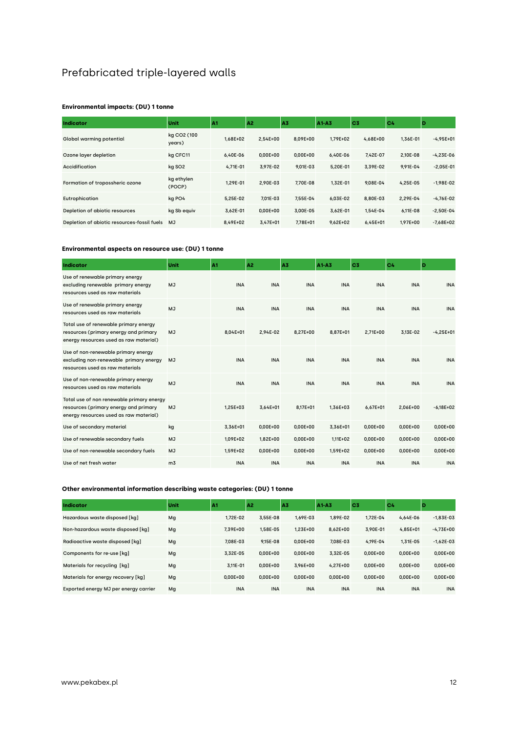## Prefabricated triple-layered walls

#### **Environmental impacts: (DU) 1 tonne**

| Indicator                                   | Unit                  | A <sub>1</sub> | A <sub>2</sub> | A3           | A1-A3        | C <sub>3</sub> | C <sub>4</sub> | D             |
|---------------------------------------------|-----------------------|----------------|----------------|--------------|--------------|----------------|----------------|---------------|
| Global warming potential                    | kg CO2 (100<br>years) | $1.68E + 02$   | $2.54E + 00$   | 8.09E+00     | $1.79E + 02$ | $4.68E + 00$   | 1.36E-01       | $-4.95E+01$   |
| Ozone layer depletion                       | kg CFC11              | 6.40E-06       | $0.00E + 00$   | $0.00E + 00$ | 6.40E-06     | 7.42E-07       | 2.10E-08       | $-4.23E-06$   |
| Accidification                              | kg SO <sub>2</sub>    | $4.71E - 01$   | 3.97E-02       | $9.01E - 03$ | 5.20E-01     | 3.39E-02       | 9.91E-04       | $-2,05E-01$   |
| Formation of tropossheric ozone             | kg ethylen<br>(POCP)  | 1.29E-01       | 2.90E-03       | 7.70E-08     | 1.32E-01     | 9.08E-04       | 4.25E-05       | $-1.98E-02$   |
| Eutrophication                              | kg PO4                | 5.25E-02       | 7.01E-03       | 7.55E-04     | 6.03E-02     | 8.80E-03       | 2.29E-04       | $-4.76E-02$   |
| Depletion of abiotic resources              | kg Sb equiv           | 3.62E-01       | $0.00E + 00$   | 3.00E-05     | 3,62E-01     | 1.54E-04       | 6.11E-08       | $-2.50E-04$   |
| Depletion of abiotic resources-fossil fuels | <b>MJ</b>             | 8.49E+02       | $3.47E + 01$   | 7.78E+01     | $9.62E + 02$ | $6.45E + 01$   | $1.97E + 00$   | $-7.68E + 02$ |

#### **Environmental aspects on resource use: (DU) 1 tonne**

| <b>Indicator</b>                                                                                                             | Unit           | A <sub>1</sub> | A <sub>2</sub> | A3           | A1A3       | C <sub>3</sub> | C4           | D            |
|------------------------------------------------------------------------------------------------------------------------------|----------------|----------------|----------------|--------------|------------|----------------|--------------|--------------|
| Use of renewable primary energy<br>excluding renewable primary energy<br>resources used as raw materials                     | <b>MJ</b>      | <b>INA</b>     | <b>INA</b>     | <b>INA</b>   | <b>INA</b> | <b>INA</b>     | <b>INA</b>   | <b>INA</b>   |
| Use of renewable primary energy<br>resources used as raw materials                                                           | MJ             | <b>INA</b>     | <b>INA</b>     | <b>INA</b>   | <b>INA</b> | <b>INA</b>     | <b>INA</b>   | <b>INA</b>   |
| Total use of renewable primary energy<br>resources (primary energy and primary<br>energy resources used as raw material)     | <b>MJ</b>      | $8.04E + 01$   | 2.94E-02       | 8.27E+00     | 8.87E+01   | $2.71E+00$     | 3.13E-02     | $-4.25E+01$  |
| Use of non-renewable primary energy<br>excluding non-renewable primary energy<br>resources used as raw materials             | <b>MJ</b>      | <b>INA</b>     | <b>INA</b>     | <b>INA</b>   | <b>INA</b> | <b>INA</b>     | <b>INA</b>   | <b>INA</b>   |
| Use of non-renewable primary energy<br>resources used as raw materials                                                       | MJ             | <b>INA</b>     | <b>INA</b>     | <b>INA</b>   | <b>INA</b> | <b>INA</b>     | <b>INA</b>   | <b>INA</b>   |
| Total use of non renewable primary energy<br>resources (primary energy and primary<br>energy resources used as raw material) | <b>MJ</b>      | $1.25E + 03$   | $3.64E + 01$   | 8.17E+01     | 1.36E+03   | $6.67E + 01$   | 2.06E+00     | $-6.18E+02$  |
| Use of secondary material                                                                                                    | kg             | 3,36E+01       | $0,00E+00$     | $0,00E+00$   | 3,36E+01   | $0,00E+00$     | $0,00E+00$   | 0,00E+00     |
| Use of renewable secondary fuels                                                                                             | MJ             | 1.09E+02       | $1.82E + 00$   | $0.00E + 00$ | $1.11E+02$ | $0.00E + 00$   | $0.00E + 00$ | $0.00E + 00$ |
| Use of non-renewable secondary fuels                                                                                         | <b>MJ</b>      | 1,59E+02       | $0.00E + 00$   | $0.00E + 00$ | 1.59E+02   | $0.00E + 00$   | $0.00E + 00$ | $0.00E + 00$ |
| Use of net fresh water                                                                                                       | m <sub>3</sub> | <b>INA</b>     | <b>INA</b>     | <b>INA</b>   | <b>INA</b> | <b>INA</b>     | <b>INA</b>   | <b>INA</b>   |

| Indicator                             | Unit | A1           | A <sub>2</sub> | A3           | A1-A3        | C <sub>3</sub> | C <sub>4</sub> | D            |
|---------------------------------------|------|--------------|----------------|--------------|--------------|----------------|----------------|--------------|
| Hazardous waste disposed [kq]         | Mg   | 1.72E-02     | 3.55E-08       | 1.69E-03     | 1.89E-02     | 1.72E-04       | 4.64E-06       | $-1.83E-03$  |
| Non-hazardous waste disposed [kq]     | Mg   | 7.39E+00     | 1.58E-05       | 1.23E+00     | $8.62E + 00$ | 3.90E-01       | $4.85E + 01$   | $-4.73E+00$  |
| Radioactive waste disposed [kq]       | Mg   | 7.08E-03     | $9.15E - 08$   | $0.00E + 00$ | 7.08E-03     | 4.19E-04       | $1.31E-05$     | $-1.62E-03$  |
| Components for re-use [kq]            | Mg   | 3.32E-05     | $0.00E + 00$   | $0.00E + 00$ | 3.32E-05     | $0.00E + 00$   | $0.00E + 00$   | $0.00E + 00$ |
| Materials for recycling [kg]          | Mg   | 3.11E-01     | $0.00E + 00$   | 3.96E+00     | $4.27E + 00$ | $0.00E + 00$   | $0.00E + 00$   | $0.00E + 00$ |
| Materials for energy recovery [kg]    | Mg   | $0.00E + 00$ | $0.00E + 00$   | $0.00E + 00$ | $0.00E + 00$ | $0.00E + 00$   | $0.00E + 00$   | $0.00E + 00$ |
| Exported energy MJ per energy carrier | Mg   | <b>INA</b>   | <b>INA</b>     | <b>INA</b>   | <b>INA</b>   | <b>INA</b>     | <b>INA</b>     | <b>INA</b>   |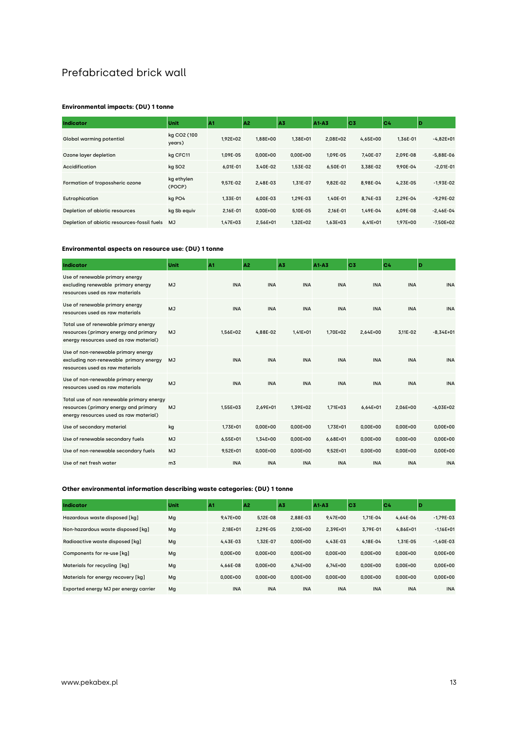### Prefabricated brick wall

#### **Environmental impacts: (DU) 1 tonne**

| Indicator                                   | Unit                  | A1           | A <sub>2</sub> | A3           | A1-A3        | C <sub>3</sub> | C <sub>4</sub> | D             |
|---------------------------------------------|-----------------------|--------------|----------------|--------------|--------------|----------------|----------------|---------------|
| Global warming potential                    | kg CO2 (100<br>years) | $1.92E + 02$ | 1.88E+00       | $1.38E + 01$ | $2.08E + 02$ | 4.65E+00       | 1.36E-01       | $-4.82E+01$   |
| Ozone layer depletion                       | kg CFC11              | 1.09E-05     | $0.00E + 00$   | $0.00E + 00$ | 1.09E-05     | 7.40E-07       | 2.09E-08       | $-5,88E-06$   |
| Accidification                              | kg SO <sub>2</sub>    | $6.01E - 01$ | 3.40E-02       | 1.53E-02     | 6.50E-01     | 3.38E-02       | 9.90E-04       | $-2,01E-01$   |
| Formation of tropossheric ozone             | kg ethylen<br>(POCP)  | 9.57E-02     | 2.48E-03       | 1.31E-07     | 9.82E-02     | 8.98E-04       | 4.23E-05       | $-1.93E-02$   |
| Eutrophication                              | kg PO4                | 1.33E-01     | 6.00E-03       | 1.29E-03     | 1.40E-01     | 8.74E-03       | 2.29E-04       | $-9.29E - 02$ |
| Depletion of abiotic resources              | kg Sb equiv           | 2.16E-01     | $0.00E + 00$   | 5.10E-05     | 2.16E-01     | 1.49E-04       | 6.09E-08       | $-2.46E-04$   |
| Depletion of abiotic resources-fossil fuels | <b>MJ</b>             | $1.47E + 03$ | $2.56E + 01$   | $1.32E + 02$ | $1.63E + 03$ | $6.41E + 01$   | 1.97E+00       | $-7.50E + 02$ |

#### **Environmental aspects on resource use: (DU) 1 tonne**

| Indicator                                                                                                                    | Unit           | A1           | A <sup>2</sup> | A3           | $A1 - A3$    | C <sub>3</sub> | C4           | D           |
|------------------------------------------------------------------------------------------------------------------------------|----------------|--------------|----------------|--------------|--------------|----------------|--------------|-------------|
| Use of renewable primary energy<br>excluding renewable primary energy<br>resources used as raw materials                     | MJ             | <b>INA</b>   | <b>INA</b>     | <b>INA</b>   | <b>INA</b>   | <b>INA</b>     | <b>INA</b>   | <b>INA</b>  |
| Use of renewable primary energy<br>resources used as raw materials                                                           | MJ             | <b>INA</b>   | <b>INA</b>     | <b>INA</b>   | <b>INA</b>   | <b>INA</b>     | <b>INA</b>   | <b>INA</b>  |
| Total use of renewable primary energy<br>resources (primary energy and primary<br>energy resources used as raw material)     | <b>MJ</b>      | 1.56E+02     | 4.88E-02       | $1.41E + 01$ | 1.70E+02     | $2.64E + 00$   | 3.11E-02     | $-8.34E+01$ |
| Use of non-renewable primary energy<br>excluding non-renewable primary energy<br>resources used as raw materials             | <b>MJ</b>      | <b>INA</b>   | <b>INA</b>     | <b>INA</b>   | <b>INA</b>   | <b>INA</b>     | <b>INA</b>   | <b>INA</b>  |
| Use of non-renewable primary energy<br>resources used as raw materials                                                       | <b>MJ</b>      | <b>INA</b>   | <b>INA</b>     | <b>INA</b>   | <b>INA</b>   | <b>INA</b>     | <b>INA</b>   | <b>INA</b>  |
| Total use of non renewable primary energy<br>resources (primary energy and primary<br>energy resources used as raw material) | <b>MJ</b>      | 1,55E+03     | $2.69E + 01$   | 1.39E+02     | $1.71E + 03$ | $6.64E + 01$   | 2.06E+00     | $-6,03E+02$ |
| Use of secondary material                                                                                                    | kg             | $1.73E + 01$ | $0.00E + 00$   | $0.00E + 00$ | $1.73E + 01$ | $0.00E + 00$   | $0.00E + 00$ | 0,00E+00    |
| Use of renewable secondary fuels                                                                                             | <b>MJ</b>      | 6,55E+01     | 1,34E+00       | $0,00E+00$   | $6,68E + 01$ | $0,00E+00$     | $0,00E+00$   | $0,00E+00$  |
| Use of non-renewable secondary fuels                                                                                         | <b>MJ</b>      | 9,52E+01     | $0,00E+00$     | $0,00E+00$   | $9,52E+01$   | $0,00E+00$     | $0,00E+00$   | $0,00E+00$  |
| Use of net fresh water                                                                                                       | m <sub>3</sub> | <b>INA</b>   | <b>INA</b>     | <b>INA</b>   | <b>INA</b>   | <b>INA</b>     | <b>INA</b>   | <b>INA</b>  |

| Indicator                             | Unit | A1           | A <sup>2</sup> | lA3          | A1-A3        | IC <sub>3</sub> | C <sub>4</sub> | Ð             |
|---------------------------------------|------|--------------|----------------|--------------|--------------|-----------------|----------------|---------------|
| Hazardous waste disposed [kq]         | Mg   | $9.47E + 00$ | 5.12E-08       | 2.88E-03     | $9.47E + 00$ | $1.71E - 04$    | 4.64E-06       | $-1.79E-03$   |
| Non-hazardous waste disposed [kq]     | Mg   | $2.18E + 01$ | 2.29E-05       | $2.10E + 00$ | 2.39E+01     | 3.79E-01        | $4.86E + 01$   | $-1.16E + 01$ |
| Radioactive waste disposed [kq]       | Mg   | 4.43E-03     | 1.32E-07       | $0.00E + 00$ | 4.43E-03     | 4.18E-04        | 1.31E-05       | $-1.60E-03$   |
| Components for re-use [kq]            | Mg   | $0.00E + 00$ | $0.00E + 00$   | $0.00E + 00$ | $0.00E + 00$ | $0.00E + 00$    | $0.00E + 00$   | $0.00E + 00$  |
| Materials for recycling [kg]          | Mg   | 4.66E-08     | $0.00E + 00$   | $6.74E + 00$ | $6.74E + 00$ | $0.00E + 00$    | $0.00E + 00$   | $0.00E + 00$  |
| Materials for energy recovery [kg]    | Mg   | $0.00E + 00$ | $0.00E + 00$   | $0.00E + 00$ | $0.00E + 00$ | $0.00E + 00$    | $0.00E + 00$   | $0.00E + 00$  |
| Exported energy MJ per energy carrier | Mg   | <b>INA</b>   | <b>INA</b>     | <b>INA</b>   | <b>INA</b>   | <b>INA</b>      | <b>INA</b>     | <b>INA</b>    |